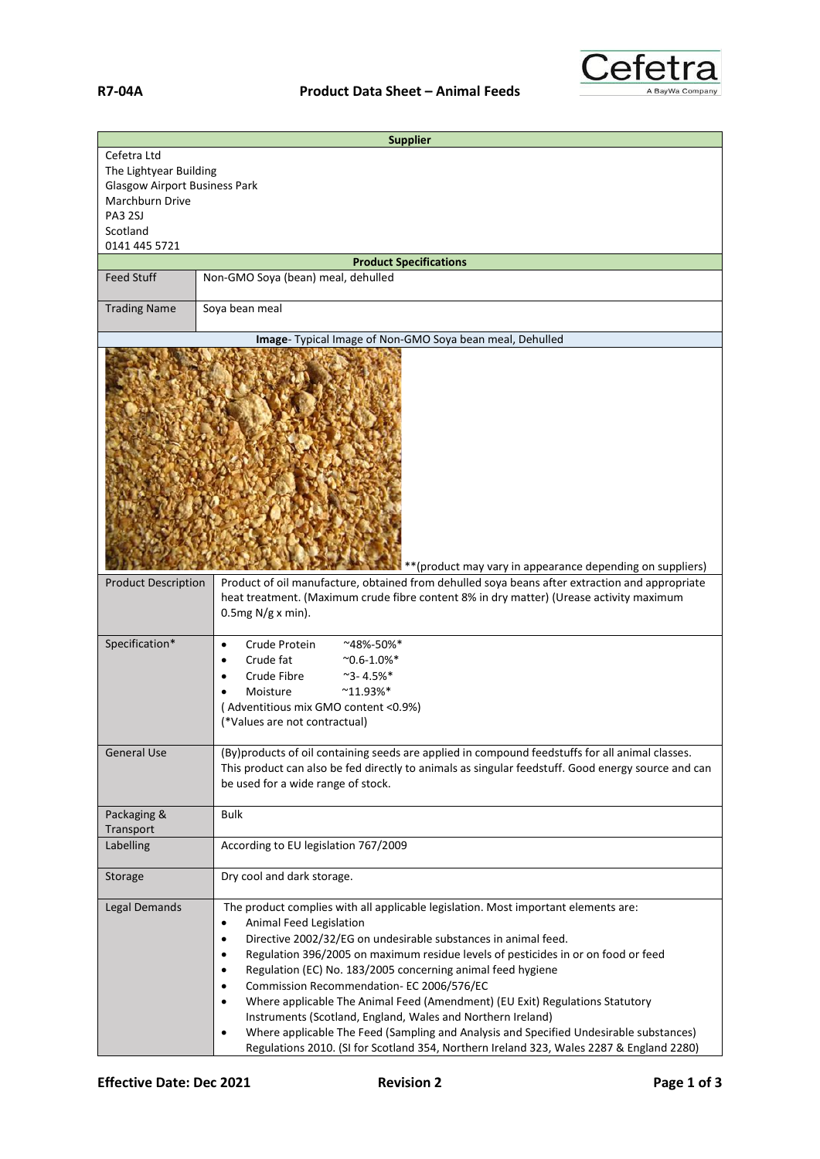

|                                                                                                                                                 | <b>Supplier</b>                                                                                                                                                                                                                                                                                                                                                                                                                                                                                                                                                                                                                                                                                                                                                                                  |  |
|-------------------------------------------------------------------------------------------------------------------------------------------------|--------------------------------------------------------------------------------------------------------------------------------------------------------------------------------------------------------------------------------------------------------------------------------------------------------------------------------------------------------------------------------------------------------------------------------------------------------------------------------------------------------------------------------------------------------------------------------------------------------------------------------------------------------------------------------------------------------------------------------------------------------------------------------------------------|--|
| Cefetra Ltd<br>The Lightyear Building<br><b>Glasgow Airport Business Park</b><br>Marchburn Drive<br><b>PA3 2SJ</b><br>Scotland<br>0141 445 5721 |                                                                                                                                                                                                                                                                                                                                                                                                                                                                                                                                                                                                                                                                                                                                                                                                  |  |
| <b>Product Specifications</b>                                                                                                                   |                                                                                                                                                                                                                                                                                                                                                                                                                                                                                                                                                                                                                                                                                                                                                                                                  |  |
| <b>Feed Stuff</b>                                                                                                                               | Non-GMO Soya (bean) meal, dehulled                                                                                                                                                                                                                                                                                                                                                                                                                                                                                                                                                                                                                                                                                                                                                               |  |
| <b>Trading Name</b>                                                                                                                             | Soya bean meal                                                                                                                                                                                                                                                                                                                                                                                                                                                                                                                                                                                                                                                                                                                                                                                   |  |
|                                                                                                                                                 | Image- Typical Image of Non-GMO Soya bean meal, Dehulled                                                                                                                                                                                                                                                                                                                                                                                                                                                                                                                                                                                                                                                                                                                                         |  |
| ** (product may vary in appearance depending on suppliers)                                                                                      |                                                                                                                                                                                                                                                                                                                                                                                                                                                                                                                                                                                                                                                                                                                                                                                                  |  |
| <b>Product Description</b>                                                                                                                      | Product of oil manufacture, obtained from dehulled soya beans after extraction and appropriate<br>heat treatment. (Maximum crude fibre content 8% in dry matter) (Urease activity maximum<br>$0.5mg N/g x min$ ).                                                                                                                                                                                                                                                                                                                                                                                                                                                                                                                                                                                |  |
| Specification*                                                                                                                                  | Crude Protein<br>~48%-50%*<br>$\bullet$<br>Crude fat<br>$^{\sim}$ 0.6-1.0%*<br>٠<br>Crude Fibre<br>$^{\sim}$ 3-4.5%*<br>$^{\sim}11.93\%$ *<br>Moisture<br>(Adventitious mix GMO content <0.9%)<br>(*Values are not contractual)                                                                                                                                                                                                                                                                                                                                                                                                                                                                                                                                                                  |  |
| <b>General Use</b>                                                                                                                              | (By)products of oil containing seeds are applied in compound feedstuffs for all animal classes.<br>This product can also be fed directly to animals as singular feedstuff. Good energy source and can<br>be used for a wide range of stock.                                                                                                                                                                                                                                                                                                                                                                                                                                                                                                                                                      |  |
| Packaging &<br>Transport                                                                                                                        | <b>Bulk</b>                                                                                                                                                                                                                                                                                                                                                                                                                                                                                                                                                                                                                                                                                                                                                                                      |  |
| Labelling                                                                                                                                       | According to EU legislation 767/2009                                                                                                                                                                                                                                                                                                                                                                                                                                                                                                                                                                                                                                                                                                                                                             |  |
| Storage                                                                                                                                         | Dry cool and dark storage.                                                                                                                                                                                                                                                                                                                                                                                                                                                                                                                                                                                                                                                                                                                                                                       |  |
| Legal Demands                                                                                                                                   | The product complies with all applicable legislation. Most important elements are:<br>Animal Feed Legislation<br>$\bullet$<br>Directive 2002/32/EG on undesirable substances in animal feed.<br>$\bullet$<br>Regulation 396/2005 on maximum residue levels of pesticides in or on food or feed<br>$\bullet$<br>Regulation (EC) No. 183/2005 concerning animal feed hygiene<br>٠<br>Commission Recommendation- EC 2006/576/EC<br>$\bullet$<br>Where applicable The Animal Feed (Amendment) (EU Exit) Regulations Statutory<br>٠<br>Instruments (Scotland, England, Wales and Northern Ireland)<br>Where applicable The Feed (Sampling and Analysis and Specified Undesirable substances)<br>$\bullet$<br>Regulations 2010. (SI for Scotland 354, Northern Ireland 323, Wales 2287 & England 2280) |  |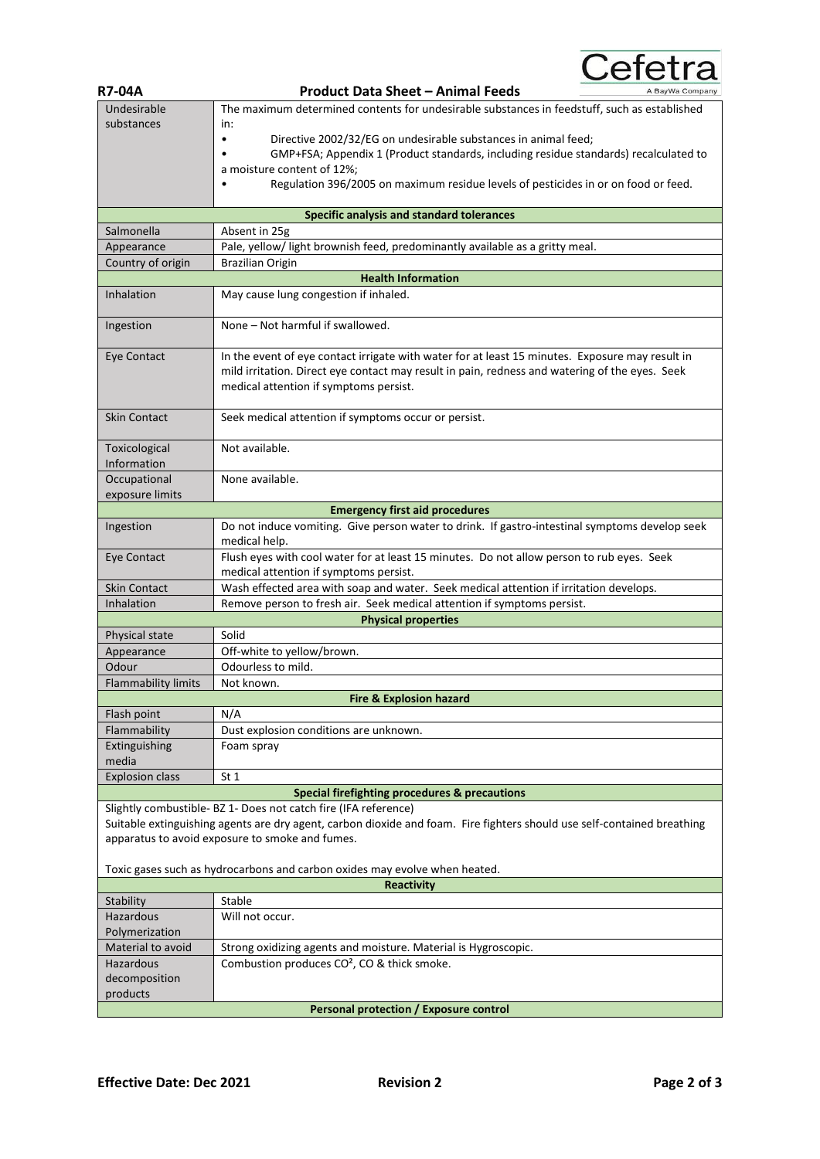Cefetra

| <b>R7-04A</b>              | <b>Product Data Sheet - Animal Feeds</b><br>A BayWa Company                                                             |
|----------------------------|-------------------------------------------------------------------------------------------------------------------------|
| Undesirable                | The maximum determined contents for undesirable substances in feedstuff, such as established                            |
| substances                 | in:                                                                                                                     |
|                            | Directive 2002/32/EG on undesirable substances in animal feed;<br>٠                                                     |
|                            | GMP+FSA; Appendix 1 (Product standards, including residue standards) recalculated to                                    |
|                            | a moisture content of 12%;                                                                                              |
|                            | Regulation 396/2005 on maximum residue levels of pesticides in or on food or feed.                                      |
|                            |                                                                                                                         |
|                            | Specific analysis and standard tolerances                                                                               |
| Salmonella                 | Absent in 25g                                                                                                           |
| Appearance                 | Pale, yellow/ light brownish feed, predominantly available as a gritty meal.                                            |
| Country of origin          | Brazilian Origin                                                                                                        |
|                            | <b>Health Information</b>                                                                                               |
| Inhalation                 | May cause lung congestion if inhaled.                                                                                   |
|                            |                                                                                                                         |
| Ingestion                  | None - Not harmful if swallowed.                                                                                        |
|                            |                                                                                                                         |
| Eye Contact                | In the event of eye contact irrigate with water for at least 15 minutes. Exposure may result in                         |
|                            | mild irritation. Direct eye contact may result in pain, redness and watering of the eyes. Seek                          |
|                            | medical attention if symptoms persist.                                                                                  |
|                            |                                                                                                                         |
| <b>Skin Contact</b>        | Seek medical attention if symptoms occur or persist.                                                                    |
|                            |                                                                                                                         |
| Toxicological              | Not available.                                                                                                          |
| Information                |                                                                                                                         |
| Occupational               | None available.                                                                                                         |
| exposure limits            |                                                                                                                         |
|                            | <b>Emergency first aid procedures</b>                                                                                   |
| Ingestion                  | Do not induce vomiting. Give person water to drink. If gastro-intestinal symptoms develop seek                          |
|                            | medical help.                                                                                                           |
| Eye Contact                | Flush eyes with cool water for at least 15 minutes. Do not allow person to rub eyes. Seek                               |
|                            | medical attention if symptoms persist.                                                                                  |
| <b>Skin Contact</b>        | Wash effected area with soap and water. Seek medical attention if irritation develops.                                  |
| Inhalation                 | Remove person to fresh air. Seek medical attention if symptoms persist.                                                 |
|                            | <b>Physical properties</b>                                                                                              |
| Physical state             | Solid                                                                                                                   |
| Appearance                 | Off-white to yellow/brown.                                                                                              |
| Odour                      | Odourless to mild.                                                                                                      |
| <b>Flammability limits</b> | Not known.                                                                                                              |
|                            | <b>Fire &amp; Explosion hazard</b>                                                                                      |
| Flash point                | N/A                                                                                                                     |
| Flammability               | Dust explosion conditions are unknown.                                                                                  |
| Extinguishing              | Foam spray                                                                                                              |
| media                      |                                                                                                                         |
| <b>Explosion class</b>     | St <sub>1</sub>                                                                                                         |
|                            | <b>Special firefighting procedures &amp; precautions</b>                                                                |
|                            | Slightly combustible- BZ 1- Does not catch fire (IFA reference)                                                         |
|                            | Suitable extinguishing agents are dry agent, carbon dioxide and foam. Fire fighters should use self-contained breathing |
|                            | apparatus to avoid exposure to smoke and fumes.                                                                         |
|                            |                                                                                                                         |
|                            | Toxic gases such as hydrocarbons and carbon oxides may evolve when heated.                                              |
|                            | <b>Reactivity</b>                                                                                                       |
| Stability                  | Stable                                                                                                                  |
| Hazardous                  | Will not occur.                                                                                                         |
| Polymerization             |                                                                                                                         |
| Material to avoid          | Strong oxidizing agents and moisture. Material is Hygroscopic.                                                          |
| Hazardous                  | Combustion produces CO <sup>2</sup> , CO & thick smoke.                                                                 |
| decomposition              |                                                                                                                         |
| products                   |                                                                                                                         |
|                            | <b>Personal protection / Exposure control</b>                                                                           |